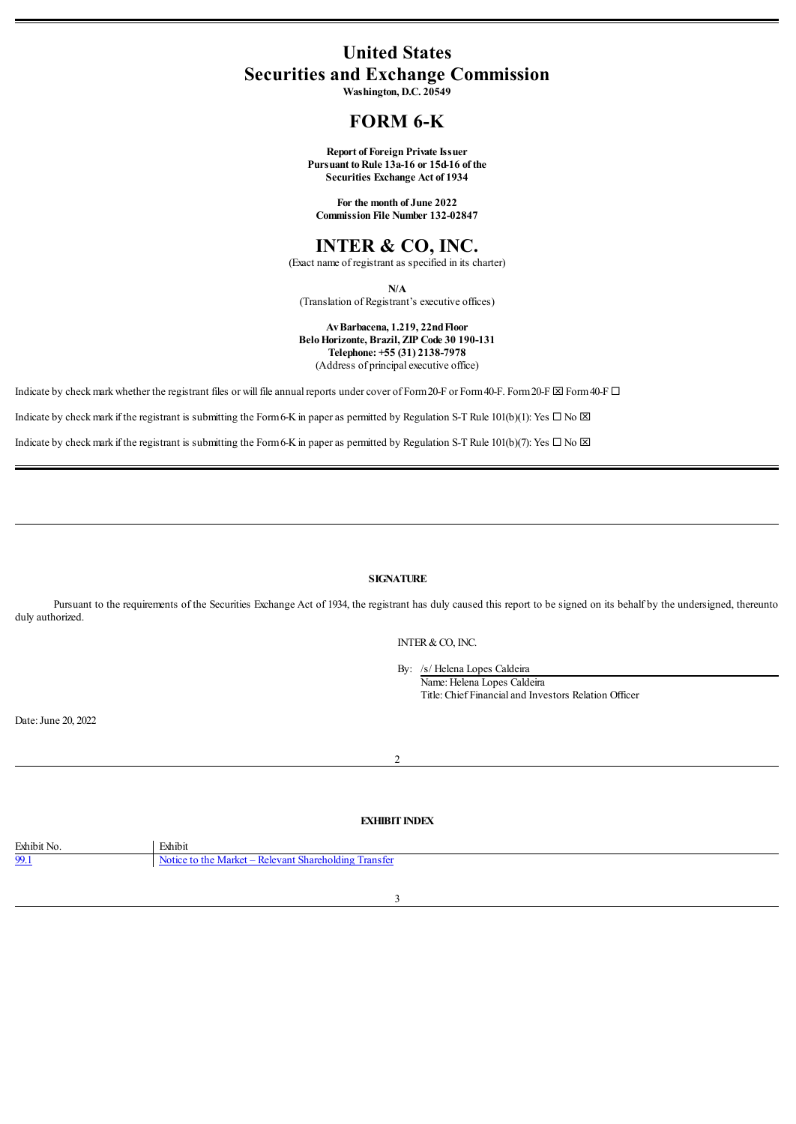# **United States Securities and Exchange Commission**

**Washington, D.C. 20549**

# **FORM 6-K**

**Report of Foreign Private Issuer Pursuant to Rule** 13a-16 or 15d-16 of the **Securities Exchange Act of 1934**

**For the month of June 2022 Commission File Number 132-02847**

# **INTER & CO, INC.**

(Exact name of registrant as specified in its charter)

**N/A**

(Translation of Registrant's executive offices)

#### **AvBarbacena, 1.219, 22ndFloor BeloHorizonte, Brazil, ZIP Code 30 190-131 Telephone: +55 (31) 2138-7978** (Address of principal executive office)

Indicate by check mark whether the registrant files or will file annual reports under cover of Form 20-F or Form 40-F. Form 20-F  $\boxtimes$  Form40-F.

Indicate by check mark if the registrant is submitting the Form6-K in paper as permitted by Regulation S-T Rule 101(b)(1): Yes  $\Box$  No  $\boxtimes$ 

Indicate by check mark if the registrant is submitting the Form6-K in paper as permitted by Regulation S-T Rule 101(b)(7): Yes  $\Box$  No  $\boxtimes$ 

# **SIGNATURE**

Pursuant to the requirements of the Securities Exchange Act of 1934, the registrant has duly caused this report to be signed on its behalf by the undersigned, thereunto duly authorized.

INTER&CO, INC.

By: /s/ Helena Lopes Caldeira Name: Helena Lopes Caldeira Title: Chief Financialand Investors Relation Officer

Date: June 20, 2022

#### 2

#### **EXHIBIT INDEX**

<span id="page-0-0"></span>

| Exhibit No. | Exhibit                                               |
|-------------|-------------------------------------------------------|
| 99.1        | Notice to the Market – Relevant Shareholding Transfer |
|             |                                                       |
|             |                                                       |